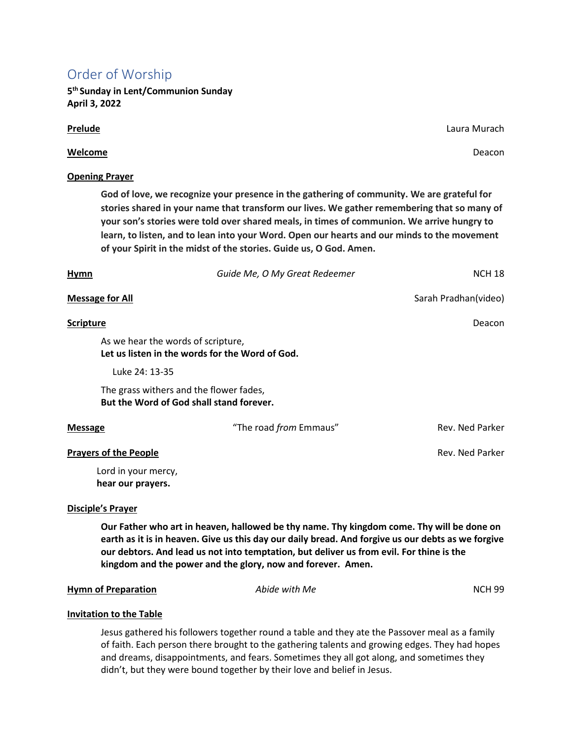# Order of Worship

**5 th Sunday in Lent/Communion Sunday April 3, 2022**

# **Welcome** Deacon

# **Opening Prayer**

**God of love, we recognize your presence in the gathering of community. We are grateful for stories shared in your name that transform our lives. We gather remembering that so many of your son's stories were told over shared meals, in times of communion. We arrive hungry to learn, to listen, and to lean into your Word. Open our hearts and our minds to the movement of your Spirit in the midst of the stories. Guide us, O God. Amen.**

| <b>Hymn</b>                  | Guide Me, O My Great Redeemer                                                         | <b>NCH 18</b>        |
|------------------------------|---------------------------------------------------------------------------------------|----------------------|
| <b>Message for All</b>       |                                                                                       | Sarah Pradhan(video) |
| <b>Scripture</b>             |                                                                                       | Deacon               |
|                              | As we hear the words of scripture,<br>Let us listen in the words for the Word of God. |                      |
|                              | Luke 24: 13-35                                                                        |                      |
|                              | The grass withers and the flower fades,<br>But the Word of God shall stand forever.   |                      |
| <b>Message</b>               | "The road from Emmaus"                                                                | Rev. Ned Parker      |
| <b>Prayers of the People</b> |                                                                                       | Rev. Ned Parker      |
|                              | Lord in your mercy,<br>hear our prayers.                                              |                      |

### **Disciple's Prayer**

**Our Father who art in heaven, hallowed be thy name. Thy kingdom come. Thy will be done on earth as it is in heaven. Give us this day our daily bread. And forgive us our debts as we forgive our debtors. And lead us not into temptation, but deliver us from evil. For thine is the kingdom and the power and the glory, now and forever. Amen.**

### **Hymn of Preparation** *Abide with Me* **<b>***NCH 99*

# **Invitation to the Table**

Jesus gathered his followers together round a table and they ate the Passover meal as a family of faith. Each person there brought to the gathering talents and growing edges. They had hopes and dreams, disappointments, and fears. Sometimes they all got along, and sometimes they didn't, but they were bound together by their love and belief in Jesus.

**Prelude** Laura Murach **Prelude** Laura Murach **Case Communication** Communication Communication Case Laura Murach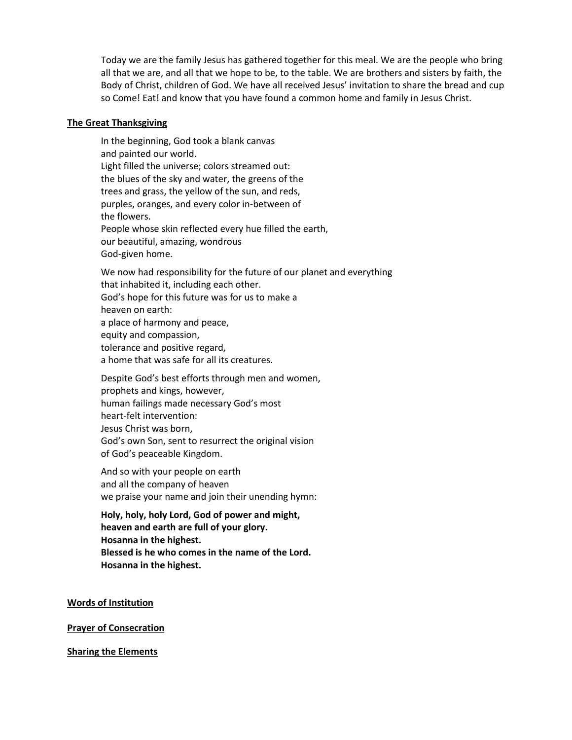Today we are the family Jesus has gathered together for this meal. We are the people who bring all that we are, and all that we hope to be, to the table. We are brothers and sisters by faith, the Body of Christ, children of God. We have all received Jesus' invitation to share the bread and cup so Come! Eat! and know that you have found a common home and family in Jesus Christ.

### **The Great Thanksgiving**

In the beginning, God took a blank canvas and painted our world. Light filled the universe; colors streamed out: the blues of the sky and water, the greens of the trees and grass, the yellow of the sun, and reds, purples, oranges, and every color in-between of the flowers. People whose skin reflected every hue filled the earth, our beautiful, amazing, wondrous God-given home.

We now had responsibility for the future of our planet and everything that inhabited it, including each other. God's hope for this future was for us to make a heaven on earth: a place of harmony and peace, equity and compassion, tolerance and positive regard, a home that was safe for all its creatures.

Despite God's best efforts through men and women, prophets and kings, however, human failings made necessary God's most heart-felt intervention: Jesus Christ was born, God's own Son, sent to resurrect the original vision of God's peaceable Kingdom.

And so with your people on earth and all the company of heaven we praise your name and join their unending hymn:

**Holy, holy, holy Lord, God of power and might, heaven and earth are full of your glory. Hosanna in the highest. Blessed is he who comes in the name of the Lord. Hosanna in the highest.**

**Words of Institution**

**Prayer of Consecration**

**Sharing the Elements**